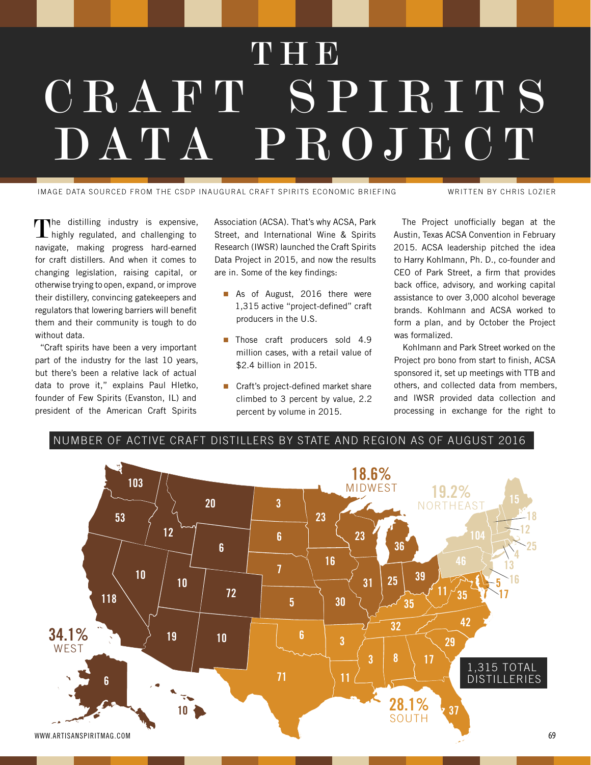# **THE** CRAFT S P I R I T S DATA PROJECT

IMAGE DATA SOURCED FROM THE CSDP INAUGURAL CRAFT SPIRITS ECONOMIC BRIEFING WRITTEN BY CHRIS LOZIER

The distilling industry is expensive,  $L$  highly regulated, and challenging to navigate, making progress hard-earned for craft distillers. And when it comes to changing legislation, raising capital, or otherwise trying to open, expand, or improve their distillery, convincing gatekeepers and regulators that lowering barriers will benefit them and their community is tough to do without data.

"Craft spirits have been a very important part of the industry for the last 10 years, but there's been a relative lack of actual data to prove it," explains Paul Hletko, founder of Few Spirits (Evanston, IL) and president of the American Craft Spirits

Association (ACSA). That's why ACSA, Park Street, and International Wine & Spirits Research (IWSR) launched the Craft Spirits Data Project in 2015, and now the results are in. Some of the key findings:

- As of August, 2016 there were 1,315 active "project-defined" craft producers in the U.S.
- **Those craft producers sold 4.9** million cases, with a retail value of \$2.4 billion in 2015.
- Craft's project-defined market share climbed to 3 percent by value, 2.2 percent by volume in 2015.

The Project unofficially began at the Austin, Texas ACSA Convention in February 2015. ACSA leadership pitched the idea to Harry Kohlmann, Ph. D., co-founder and CEO of Park Street, a firm that provides back office, advisory, and working capital assistance to over 3,000 alcohol beverage brands. Kohlmann and ACSA worked to form a plan, and by October the Project was formalized.

Kohlmann and Park Street worked on the Project pro bono from start to finish, ACSA sponsored it, set up meetings with TTB and others, and collected data from members, and IWSR provided data collection and processing in exchange for the right to



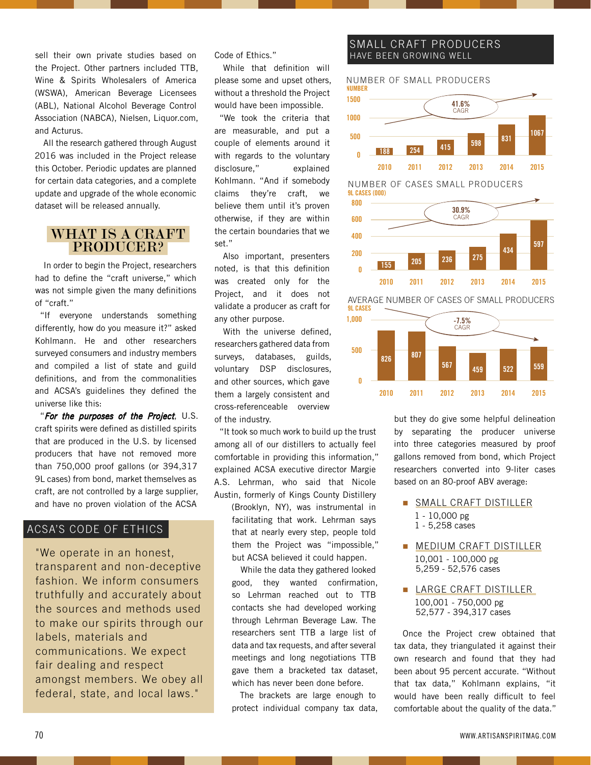sell their own private studies based on the Project. Other partners included TTB, Wine & Spirits Wholesalers of America (WSWA), American Beverage Licensees (ABL), National Alcohol Beverage Control Association (NABCA), Nielsen, Liquor.com, and Acturus.

All the research gathered through August 2016 was included in the Project release this October. Periodic updates are planned for certain data categories, and a complete update and upgrade of the whole economic dataset will be released annually.

# WHAT IS A CRAFT PRODUCER?

In order to begin the Project, researchers had to define the "craft universe," which was not simple given the many definitions of "craft."

"If everyone understands something differently, how do you measure it?" asked Kohlmann. He and other researchers surveyed consumers and industry members and compiled a list of state and guild definitions, and from the commonalities and ACSA's guidelines they defined the universe like this:

"For the purposes of the Project, U.S. craft spirits were defined as distilled spirits that are produced in the U.S. by licensed producers that have not removed more than 750,000 proof gallons (or 394,317 9L cases) from bond, market themselves as craft, are not controlled by a large supplier, and have no proven violation of the ACSA

#### ACSA'S CODE OF ETHICS

"We operate in an honest, transparent and non-deceptive fashion. We inform consumers truthfully and accurately about the sources and methods used to make our spirits through our labels, materials and communications. We expect fair dealing and respect amongst members. We obey all federal, state, and local laws."

Code of Ethics."

While that definition will please some and upset others, without a threshold the Project would have been impossible.

"We took the criteria that are measurable, and put a couple of elements around it with regards to the voluntary disclosure," explained Kohlmann. "And if somebody claims they're craft, we believe them until it's proven otherwise, if they are within the certain boundaries that we set."

Also important, presenters noted, is that this definition was created only for the Project, and it does not validate a producer as craft for any other purpose.

With the universe defined, researchers gathered data from surveys, databases, guilds, voluntary DSP disclosures, and other sources, which gave them a largely consistent and cross-referenceable overview of the industry.

"It took so much work to build up the trust among all of our distillers to actually feel comfortable in providing this information," explained ACSA executive director Margie A.S. Lehrman, who said that Nicole Austin, formerly of Kings County Distillery

(Brooklyn, NY), was instrumental in facilitating that work. Lehrman says that at nearly every step, people told them the Project was "impossible," but ACSA believed it could happen.

While the data they gathered looked good, they wanted confirmation, so Lehrman reached out to TTB contacts she had developed working through Lehrman Beverage Law. The researchers sent TTB a large list of data and tax requests, and after several meetings and long negotiations TTB gave them a bracketed tax dataset, which has never been done before.

The brackets are large enough to protect individual company tax data,

### SMALL CRAFT PRODUCERS HAVE BEEN GROWING WELL



9L CASES (000) NUMBER OF CASES SMALL PRODUCERS



9L CASES AVERAGE NUMBER OF CASES OF SMALL PRODUCERS



but they do give some helpful delineation by separating the producer universe into three categories measured by proof gallons removed from bond, which Project researchers converted into 9-liter cases based on an 80-proof ABV average:

- SMALL CRAFT DISTILLER 1 - 10,000 pg
	- 1 5,258 cases
- **MEDIUM CRAFT DISTILLER** 10,001 - 100,000 pg 5,259 - 52,576 cases
- **LARGE CRAFT DISTILLER** 100,001 - 750,000 pg 52,577 - 394,317 cases

Once the Project crew obtained that tax data, they triangulated it against their own research and found that they had been about 95 percent accurate. "Without that tax data," Kohlmann explains, "it would have been really difficult to feel comfortable about the quality of the data."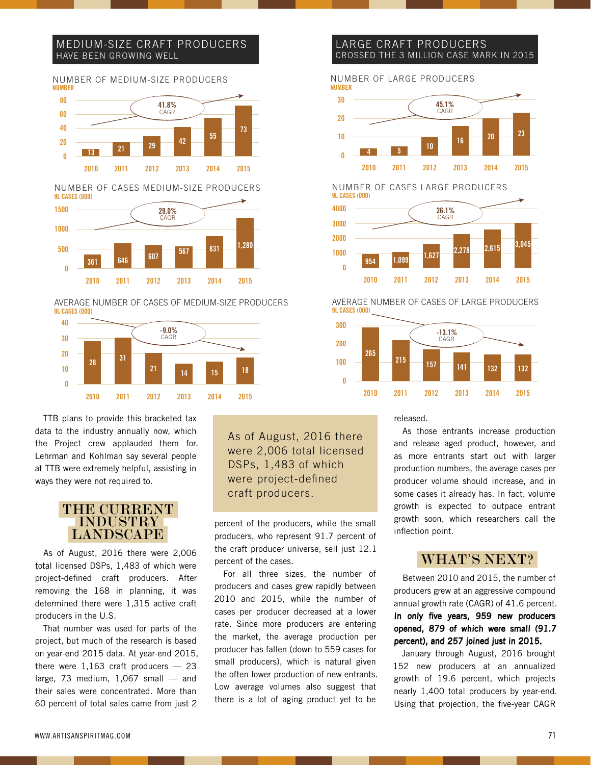#### MEDIUM-SIZE CRAFT PRODUCERS HAVE BEEN GROWING WELL



9L CASES (000) NUMBER OF CASES MEDIUM-SIZE PRODUCERS



<sup>9</sup>L CASES (000) AVERAGE NUMBER OF CASES OF MEDIUM-SIZE PRODUCERS



TTB plans to provide this bracketed tax data to the industry annually now, which the Project crew applauded them for. Lehrman and Kohlman say several people at TTB were extremely helpful, assisting in ways they were not required to.

# THE CURRENT INDUSTRY LANDSCAPE

As of August, 2016 there were 2,006 total licensed DSPs, 1,483 of which were project-defined craft producers. After removing the 168 in planning, it was determined there were 1,315 active craft producers in the U.S.

That number was used for parts of the project, but much of the research is based on year-end 2015 data. At year-end 2015, there were  $1,163$  craft producers  $-23$ large, 73 medium,  $1,067$  small  $-$  and their sales were concentrated. More than 60 percent of total sales came from just 2

As of August, 2016 there were 2,006 total licensed DSPs, 1,483 of which were project-defined craft producers.

percent of the producers, while the small producers, who represent 91.7 percent of the craft producer universe, sell just 12.1 percent of the cases.

For all three sizes, the number of producers and cases grew rapidly between 2010 and 2015, while the number of cases per producer decreased at a lower rate. Since more producers are entering the market, the average production per producer has fallen (down to 559 cases for small producers), which is natural given the often lower production of new entrants. Low average volumes also suggest that there is a lot of aging product yet to be

#### LARGE CRAFT PRODUCERS CROSSED THE 3 MILLION CASE MARK IN 2015

NUMBER NUMBER OF LARGE PRODUCERS



3000 9L CASES (000) NUMBER OF CASES LARGE PRODUCERS 26.1% CAGR 4000

<sup>954</sup> 1,099 1,627 2,278 2,615 3,045 2010 2011 2012 2013 2014 2015 0 1000 2000

9L CASES (000) AVERAGE NUMBER OF CASES OF LARGE PRODUCERS



released.

As those entrants increase production and release aged product, however, and as more entrants start out with larger production numbers, the average cases per producer volume should increase, and in some cases it already has. In fact, volume growth is expected to outpace entrant growth soon, which researchers call the inflection point.

# WHAT'S NEXT?

Between 2010 and 2015, the number of producers grew at an aggressive compound annual growth rate (CAGR) of 41.6 percent. In only five years, 959 new producers opened, 879 of which were small (91.7 percent), and 257 joined just in 2015.

January through August, 2016 brought 152 new producers at an annualized growth of 19.6 percent, which projects nearly 1,400 total producers by year-end. Using that projection, the five-year CAGR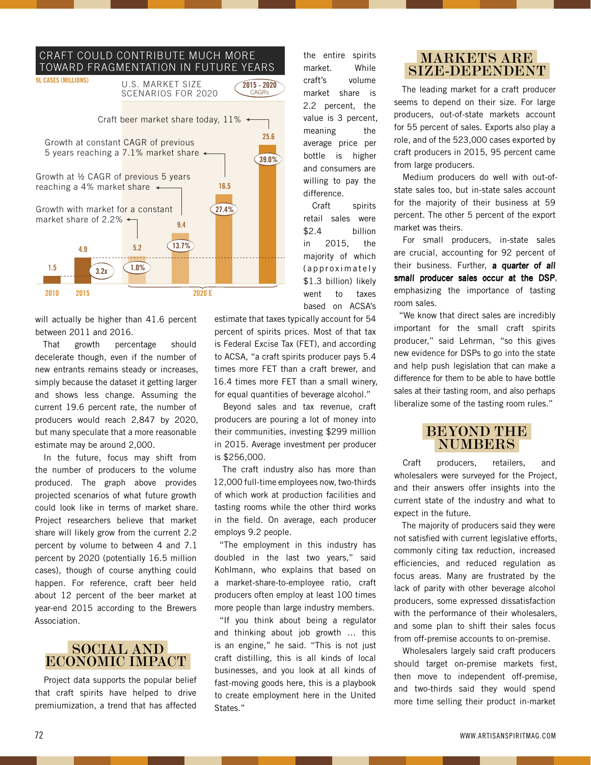#### CRAFT COULD CONTRIBUTE MUCH MORE TOWARD FRAGMENTATION IN FUTURE YEARS



will actually be higher than 41.6 percent between 2011 and 2016.

That growth percentage should decelerate though, even if the number of new entrants remains steady or increases, simply because the dataset it getting larger and shows less change. Assuming the current 19.6 percent rate, the number of producers would reach 2,847 by 2020, but many speculate that a more reasonable estimate may be around 2,000.

In the future, focus may shift from the number of producers to the volume produced. The graph above provides projected scenarios of what future growth could look like in terms of market share. Project researchers believe that market share will likely grow from the current 2.2 percent by volume to between 4 and 7.1 percent by 2020 (potentially 16.5 million cases), though of course anything could happen. For reference, craft beer held about 12 percent of the beer market at year-end 2015 according to the Brewers Association.

# SOCIAL AND ECONOMIC IMPACT

Project data supports the popular belief that craft spirits have helped to drive premiumization, a trend that has affected

the entire spirits market. While craft's volume market share is 2.2 percent, the value is 3 percent, meaning the average price per bottle is higher and consumers are willing to pay the difference.

Craft spirits retail sales were \$2.4 billion in 2015, the majority of which (approximately \$1.3 billion) likely went to taxes based on ACSA's

estimate that taxes typically account for 54 percent of spirits prices. Most of that tax is Federal Excise Tax (FET), and according to ACSA, "a craft spirits producer pays 5.4 times more FET than a craft brewer, and 16.4 times more FET than a small winery, for equal quantities of beverage alcohol."

Beyond sales and tax revenue, craft producers are pouring a lot of money into their communities, investing \$299 million in 2015. Average investment per producer is \$256,000.

The craft industry also has more than 12,000 full-time employees now, two-thirds of which work at production facilities and tasting rooms while the other third works in the field. On average, each producer employs 9.2 people.

"The employment in this industry has doubled in the last two years," said Kohlmann, who explains that based on a market-share-to-employee ratio, craft producers often employ at least 100 times more people than large industry members.

"If you think about being a regulator and thinking about job growth … this is an engine," he said. "This is not just craft distilling, this is all kinds of local businesses, and you look at all kinds of fast-moving goods here, this is a playbook to create employment here in the United States."

# MARKETS ARE SIZE-DEPENDENT

The leading market for a craft producer seems to depend on their size. For large producers, out-of-state markets account for 55 percent of sales. Exports also play a role, and of the 523,000 cases exported by craft producers in 2015, 95 percent came from large producers.

Medium producers do well with out-ofstate sales too, but in-state sales account for the majority of their business at 59 percent. The other 5 percent of the export market was theirs.

For small producers, in-state sales are crucial, accounting for 92 percent of their business. Further, a quarter of all small producer sales occur at the DSP, emphasizing the importance of tasting room sales.

"We know that direct sales are incredibly important for the small craft spirits producer," said Lehrman, "so this gives new evidence for DSPs to go into the state and help push legislation that can make a difference for them to be able to have bottle sales at their tasting room, and also perhaps liberalize some of the tasting room rules."

# BEYOND THE NUMBERS

Craft producers, retailers, and wholesalers were surveyed for the Project, and their answers offer insights into the current state of the industry and what to expect in the future.

The majority of producers said they were not satisfied with current legislative efforts, commonly citing tax reduction, increased efficiencies, and reduced regulation as focus areas. Many are frustrated by the lack of parity with other beverage alcohol producers, some expressed dissatisfaction with the performance of their wholesalers, and some plan to shift their sales focus from off-premise accounts to on-premise.

Wholesalers largely said craft producers should target on-premise markets first, then move to independent off-premise, and two-thirds said they would spend more time selling their product in-market